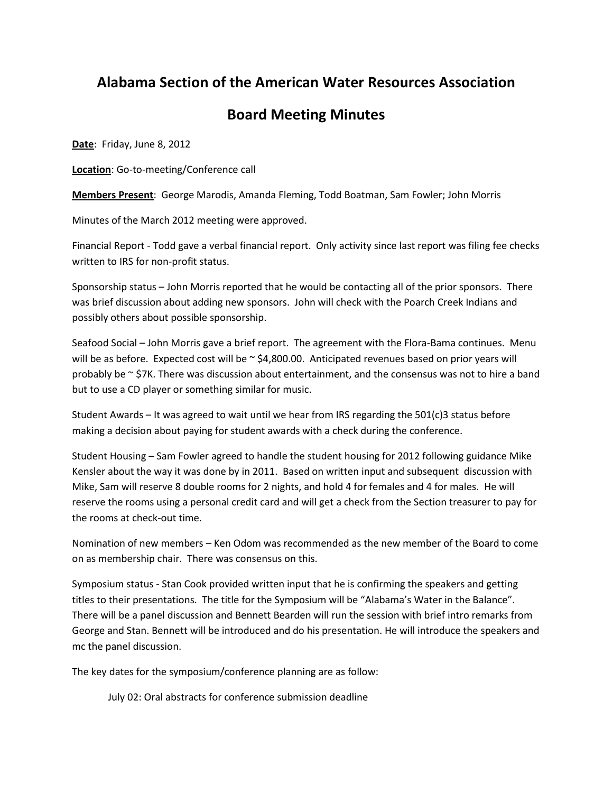## **Alabama Section of the American Water Resources Association**

## **Board Meeting Minutes**

**Date**: Friday, June 8, 2012

**Location**: Go-to-meeting/Conference call

**Members Present**: George Marodis, Amanda Fleming, Todd Boatman, Sam Fowler; John Morris

Minutes of the March 2012 meeting were approved.

Financial Report - Todd gave a verbal financial report. Only activity since last report was filing fee checks written to IRS for non-profit status.

Sponsorship status – John Morris reported that he would be contacting all of the prior sponsors. There was brief discussion about adding new sponsors. John will check with the Poarch Creek Indians and possibly others about possible sponsorship.

Seafood Social – John Morris gave a brief report. The agreement with the Flora-Bama continues. Menu will be as before. Expected cost will be  $\sim$  \$4,800.00. Anticipated revenues based on prior years will probably be  $\sim$  \$7K. There was discussion about entertainment, and the consensus was not to hire a band but to use a CD player or something similar for music.

Student Awards – It was agreed to wait until we hear from IRS regarding the 501(c)3 status before making a decision about paying for student awards with a check during the conference.

Student Housing – Sam Fowler agreed to handle the student housing for 2012 following guidance Mike Kensler about the way it was done by in 2011. Based on written input and subsequent discussion with Mike, Sam will reserve 8 double rooms for 2 nights, and hold 4 for females and 4 for males. He will reserve the rooms using a personal credit card and will get a check from the Section treasurer to pay for the rooms at check-out time.

Nomination of new members – Ken Odom was recommended as the new member of the Board to come on as membership chair. There was consensus on this.

Symposium status - Stan Cook provided written input that he is confirming the speakers and getting titles to their presentations. The title for the Symposium will be "Alabama's Water in the Balance". There will be a panel discussion and Bennett Bearden will run the session with brief intro remarks from George and Stan. Bennett will be introduced and do his presentation. He will introduce the speakers and mc the panel discussion.

The key dates for the symposium/conference planning are as follow:

July 02: Oral abstracts for conference submission deadline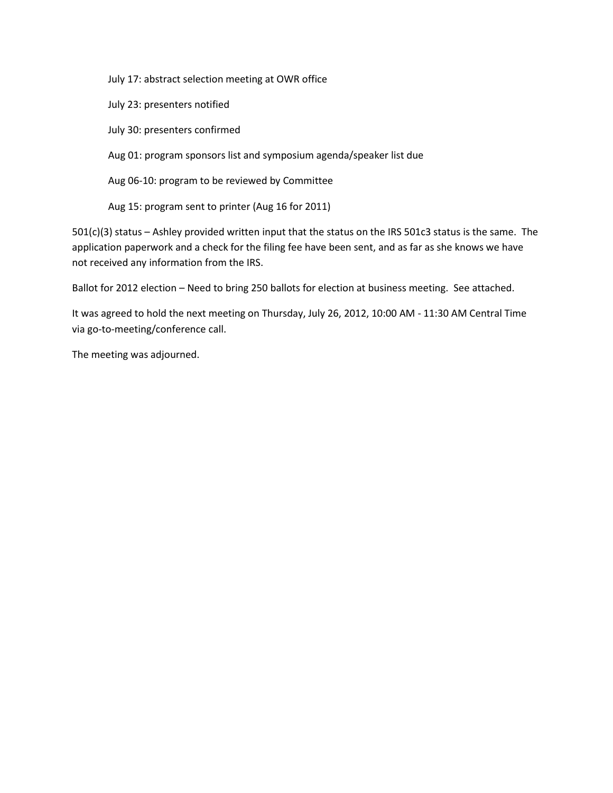July 17: abstract selection meeting at OWR office

July 23: presenters notified

July 30: presenters confirmed

Aug 01: program sponsors list and symposium agenda/speaker list due

Aug 06-10: program to be reviewed by Committee

Aug 15: program sent to printer (Aug 16 for 2011)

501(c)(3) status – Ashley provided written input that the status on the IRS 501c3 status is the same. The application paperwork and a check for the filing fee have been sent, and as far as she knows we have not received any information from the IRS.

Ballot for 2012 election – Need to bring 250 ballots for election at business meeting. See attached.

It was agreed to hold the next meeting on Thursday, July 26, 2012, 10:00 AM - 11:30 AM Central Time via go-to-meeting/conference call.

The meeting was adjourned.